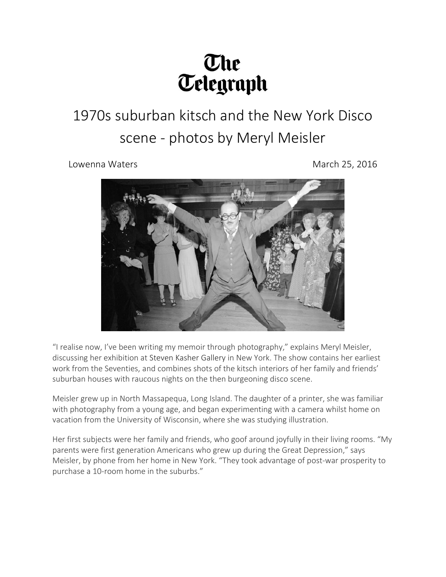## The<br>Telegraph

## 1970s suburban kitsch and the New York Disco scene - photos by Meryl Meisler

Lowenna Waters **March 25, 2016** 



"I realise now, I've been writing my memoir through photography," explains Meryl Meisler, discussing her exhibition at Steven Kasher [Gallery](http://www.stevenkasher.com/) in New York. The show contains her earliest work from the Seventies, and combines shots of the kitsch interiors of her family and friends' suburban houses with raucous nights on the then burgeoning disco scene.

Meisler grew up in North Massapequa, Long Island. The daughter of a printer, she was familiar with photography from a young age, and began experimenting with a camera whilst home on vacation from the University of Wisconsin, where she was studying illustration.

Her first subjects were her family and friends, who goof around joyfully in their living rooms. "My parents were first generation Americans who grew up during the Great Depression," says Meisler, by phone from her home in New York. "They took advantage of post-war prosperity to purchase a 10-room home in the suburbs."